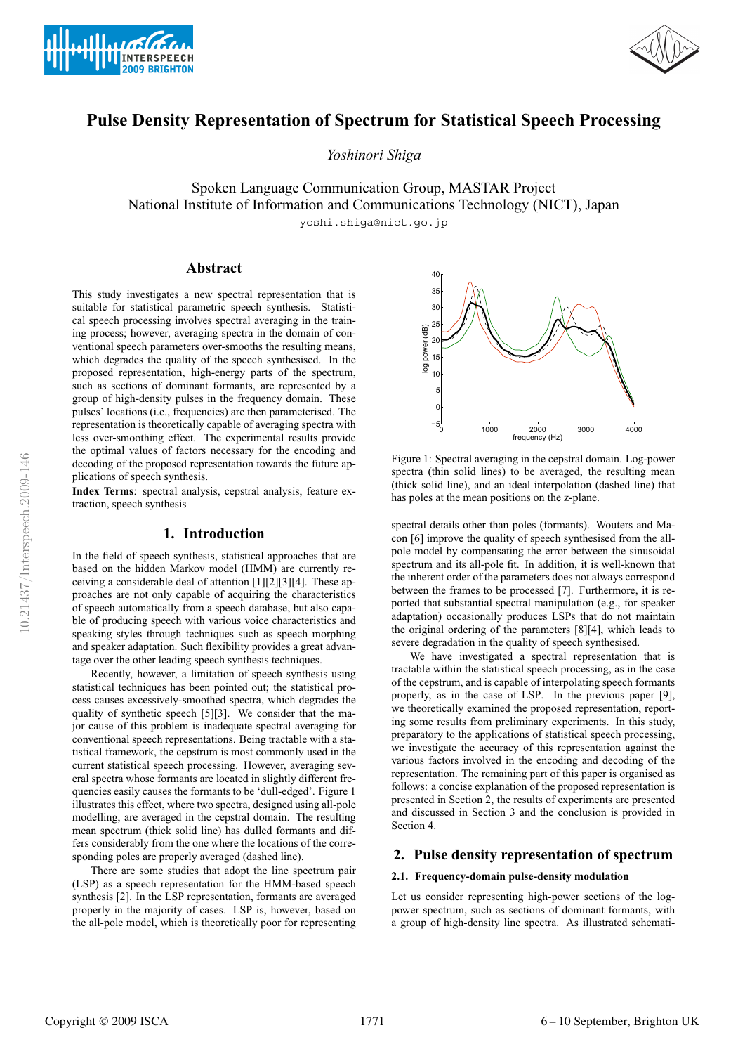



# **Pulse Density Representation of Spectrum for Statistical Speech Processing**

*Yoshinori Shiga*

Spoken Language Communication Group, MASTAR Project National Institute of Information and Communications Technology (NICT), Japan yoshi.shiga@nict.go.jp

## **Abstract**

This study investigates a new spectral representation that is suitable for statistical parametric speech synthesis. Statistical speech processing involves spectral averaging in the training process; however, averaging spectra in the domain of conventional speech parameters over-smooths the resulting means, which degrades the quality of the speech synthesised. In the proposed representation, high-energy parts of the spectrum, such as sections of dominant formants, are represented by a group of high-density pulses in the frequency domain. These pulses' locations (i.e., frequencies) are then parameterised. The representation is theoretically capable of averaging spectra with less over-smoothing effect. The experimental results provide the optimal values of factors necessary for the encoding and decoding of the proposed representation towards the future applications of speech synthesis.

**Index Terms**: spectral analysis, cepstral analysis, feature extraction, speech synthesis

## **1. Introduction**

In the field of speech synthesis, statistical approaches that are based on the hidden Markov model (HMM) are currently receiving a considerable deal of attention [1][2][3][4]. These approaches are not only capable of acquiring the characteristics of speech automatically from a speech database, but also capable of producing speech with various voice characteristics and speaking styles through techniques such as speech morphing and speaker adaptation. Such flexibility provides a great advantage over the other leading speech synthesis techniques.

Recently, however, a limitation of speech synthesis using statistical techniques has been pointed out; the statistical process causes excessively-smoothed spectra, which degrades the quality of synthetic speech [5][3]. We consider that the major cause of this problem is inadequate spectral averaging for conventional speech representations. Being tractable with a statistical framework, the cepstrum is most commonly used in the current statistical speech processing. However, averaging several spectra whose formants are located in slightly different frequencies easily causes the formants to be 'dull-edged'. Figure 1 illustrates this effect, where two spectra, designed using all-pole modelling, are averaged in the cepstral domain. The resulting mean spectrum (thick solid line) has dulled formants and differs considerably from the one where the locations of the corresponding poles are properly averaged (dashed line).

There are some studies that adopt the line spectrum pair (LSP) as a speech representation for the HMM-based speech synthesis [2]. In the LSP representation, formants are averaged properly in the majority of cases. LSP is, however, based on the all-pole model, which is theoretically poor for representing



Figure 1: Spectral averaging in the cepstral domain. Log-power spectra (thin solid lines) to be averaged, the resulting mean (thick solid line), and an ideal interpolation (dashed line) that has poles at the mean positions on the z-plane.

spectral details other than poles (formants). Wouters and Macon [6] improve the quality of speech synthesised from the allpole model by compensating the error between the sinusoidal spectrum and its all-pole fit. In addition, it is well-known that the inherent order of the parameters does not always correspond between the frames to be processed [7]. Furthermore, it is reported that substantial spectral manipulation (e.g., for speaker adaptation) occasionally produces LSPs that do not maintain the original ordering of the parameters [8][4], which leads to severe degradation in the quality of speech synthesised.

We have investigated a spectral representation that is tractable within the statistical speech processing, as in the case of the cepstrum, and is capable of interpolating speech formants properly, as in the case of LSP. In the previous paper [9], we theoretically examined the proposed representation, reporting some results from preliminary experiments. In this study, preparatory to the applications of statistical speech processing, we investigate the accuracy of this representation against the various factors involved in the encoding and decoding of the representation. The remaining part of this paper is organised as follows: a concise explanation of the proposed representation is presented in Section 2, the results of experiments are presented and discussed in Section 3 and the conclusion is provided in Section 4.

## **2. Pulse density representation of spectrum**

#### **2.1. Frequency-domain pulse-density modulation**

Let us consider representing high-power sections of the logpower spectrum, such as sections of dominant formants, with a group of high-density line spectra. As illustrated schemati-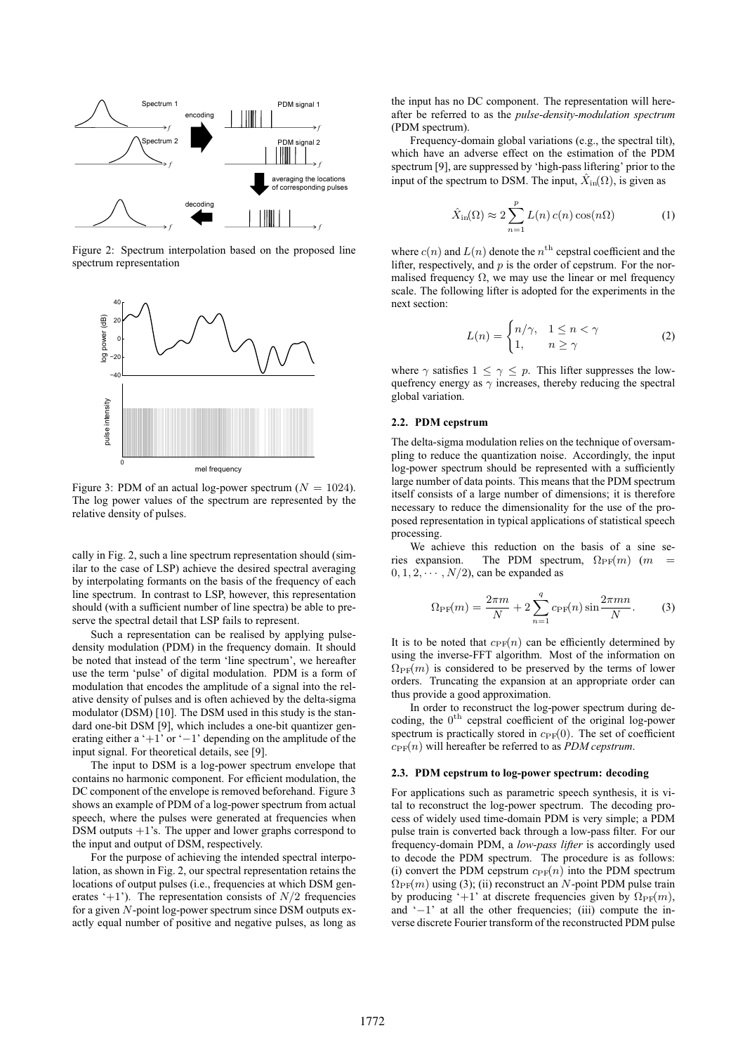

Figure 2: Spectrum interpolation based on the proposed line spectrum representation



Figure 3: PDM of an actual log-power spectrum ( $N = 1024$ ). The log power values of the spectrum are represented by the relative density of pulses.

cally in Fig. 2, such a line spectrum representation should (similar to the case of LSP) achieve the desired spectral averaging by interpolating formants on the basis of the frequency of each line spectrum. In contrast to LSP, however, this representation should (with a sufficient number of line spectra) be able to preserve the spectral detail that LSP fails to represent.

Such a representation can be realised by applying pulsedensity modulation (PDM) in the frequency domain. It should be noted that instead of the term 'line spectrum', we hereafter use the term 'pulse' of digital modulation. PDM is a form of modulation that encodes the amplitude of a signal into the relative density of pulses and is often achieved by the delta-sigma modulator (DSM) [10]. The DSM used in this study is the standard one-bit DSM [9], which includes a one-bit quantizer generating either a '+1' or '−1' depending on the amplitude of the input signal. For theoretical details, see [9].

The input to DSM is a log-power spectrum envelope that contains no harmonic component. For efficient modulation, the DC component of the envelope is removed beforehand. Figure 3 shows an example of PDM of a log-power spectrum from actual speech, where the pulses were generated at frequencies when DSM outputs  $+1$ 's. The upper and lower graphs correspond to the input and output of DSM, respectively.

For the purpose of achieving the intended spectral interpolation, as shown in Fig. 2, our spectral representation retains the locations of output pulses (i.e., frequencies at which DSM generates '+1'). The representation consists of  $N/2$  frequencies for a given N-point log-power spectrum since DSM outputs exactly equal number of positive and negative pulses, as long as

the input has no DC component. The representation will hereafter be referred to as the *pulse-density-modulation spectrum* (PDM spectrum).

Frequency-domain global variations (e.g., the spectral tilt), which have an adverse effect on the estimation of the PDM spectrum [9], are suppressed by 'high-pass liftering' prior to the input of the spectrum to DSM. The input,  $\hat{X}_{in}(\Omega)$ , is given as

$$
\hat{X}_{\text{in}}(\Omega) \approx 2 \sum_{n=1}^{p} L(n) c(n) \cos(n\Omega) \tag{1}
$$

where  $c(n)$  and  $L(n)$  denote the  $n<sup>th</sup>$  cepstral coefficient and the lifter, respectively, and  $p$  is the order of cepstrum. For the normalised frequency  $\Omega$ , we may use the linear or mel frequency scale. The following lifter is adopted for the experiments in the next section:

$$
L(n) = \begin{cases} n/\gamma, & 1 \le n < \gamma \\ 1, & n \ge \gamma \end{cases}
$$
 (2)

where  $\gamma$  satisfies  $1 \leq \gamma \leq p$ . This lifter suppresses the lowquefrency energy as  $\gamma$  increases, thereby reducing the spectral global variation.

#### **2.2. PDM cepstrum**

The delta-sigma modulation relies on the technique of oversampling to reduce the quantization noise. Accordingly, the input log-power spectrum should be represented with a sufficiently large number of data points. This means that the PDM spectrum itself consists of a large number of dimensions; it is therefore necessary to reduce the dimensionality for the use of the proposed representation in typical applications of statistical speech processing.

We achieve this reduction on the basis of a sine series expansion. The PDM spectrum,  $\Omega_{\text{PF}}(m)$  (m =  $0, 1, 2, \cdots, N/2$ , can be expanded as

$$
\Omega_{\rm PF}(m) = \frac{2\pi m}{N} + 2\sum_{n=1}^{q} c_{\rm PF}(n) \sin \frac{2\pi mn}{N}.
$$
 (3)

It is to be noted that  $c_{\text{PF}}(n)$  can be efficiently determined by using the inverse-FFT algorithm. Most of the information on  $\Omega_{\text{PF}}(m)$  is considered to be preserved by the terms of lower orders. Truncating the expansion at an appropriate order can thus provide a good approximation.

In order to reconstruct the log-power spectrum during decoding, the 0<sup>th</sup> cepstral coefficient of the original log-power spectrum is practically stored in  $c_{\text{PF}}(0)$ . The set of coefficient  $c_{\text{PF}}(n)$  will hereafter be referred to as *PDM cepstrum*.

#### **2.3. PDM cepstrum to log-power spectrum: decoding**

For applications such as parametric speech synthesis, it is vital to reconstruct the log-power spectrum. The decoding process of widely used time-domain PDM is very simple; a PDM pulse train is converted back through a low-pass filter. For our frequency-domain PDM, a *low-pass lifter* is accordingly used to decode the PDM spectrum. The procedure is as follows: (i) convert the PDM cepstrum  $c_{\text{PF}}(n)$  into the PDM spectrum  $\Omega_{\text{PF}}(m)$  using (3); (ii) reconstruct an N-point PDM pulse train by producing '+1' at discrete frequencies given by  $\Omega_{\text{PF}}(m)$ , and '−1' at all the other frequencies; (iii) compute the inverse discrete Fourier transform of the reconstructed PDM pulse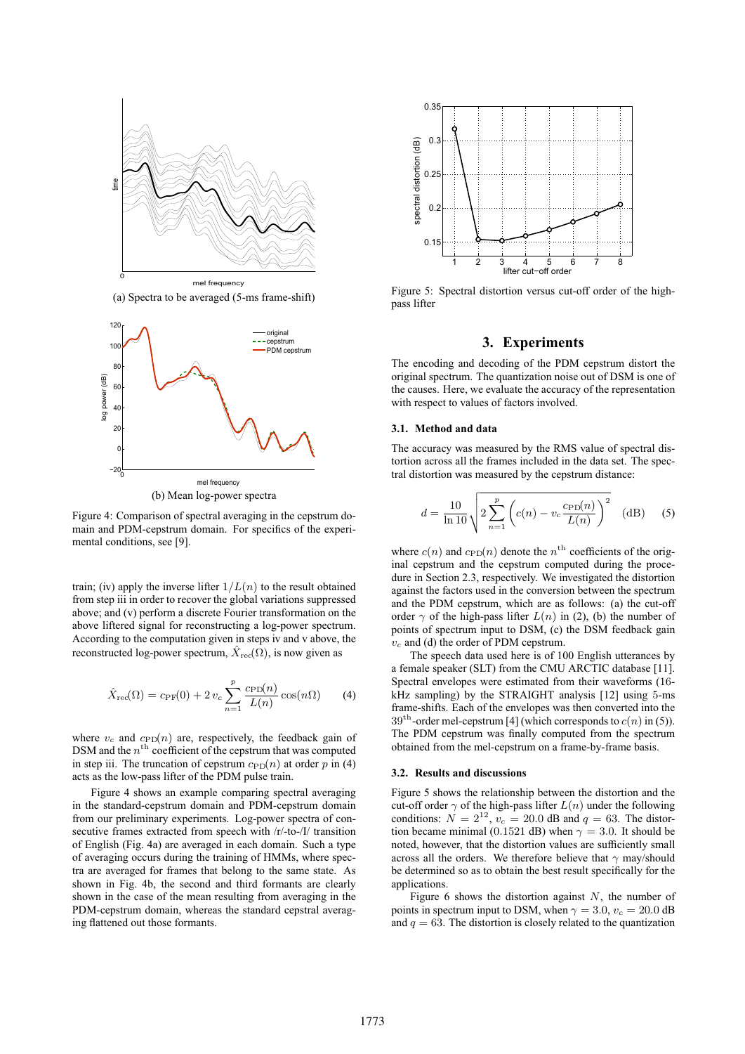

(a) Spectra to be averaged (5-ms frame-shift)



Figure 4: Comparison of spectral averaging in the cepstrum domain and PDM-cepstrum domain. For specifics of the experimental conditions, see [9].

train; (iv) apply the inverse lifter  $1/L(n)$  to the result obtained from step iii in order to recover the global variations suppressed above; and (v) perform a discrete Fourier transformation on the above liftered signal for reconstructing a log-power spectrum. According to the computation given in steps iv and v above, the reconstructed log-power spectrum,  $\hat{X}_{\text{rec}}(\Omega)$ , is now given as

$$
\hat{X}_{\text{rec}}(\Omega) = c_{\text{PF}}(0) + 2 v_c \sum_{n=1}^{p} \frac{c_{\text{PD}}(n)}{L(n)} \cos(n\Omega) \tag{4}
$$

where  $v_c$  and  $c_{\text{PD}}(n)$  are, respectively, the feedback gain of DSM and the  $n^{\text{th}}$  coefficient of the cepstrum that was computed in step iii. The truncation of cepstrum  $c_{\text{PD}}(n)$  at order p in (4) acts as the low-pass lifter of the PDM pulse train.

Figure 4 shows an example comparing spectral averaging in the standard-cepstrum domain and PDM-cepstrum domain from our preliminary experiments. Log-power spectra of consecutive frames extracted from speech with /r/-to-/I/ transition of English (Fig. 4a) are averaged in each domain. Such a type of averaging occurs during the training of HMMs, where spectra are averaged for frames that belong to the same state. As shown in Fig. 4b, the second and third formants are clearly shown in the case of the mean resulting from averaging in the PDM-cepstrum domain, whereas the standard cepstral averaging flattened out those formants.



Figure 5: Spectral distortion versus cut-off order of the highpass lifter

#### **3. Experiments**

The encoding and decoding of the PDM cepstrum distort the original spectrum. The quantization noise out of DSM is one of the causes. Here, we evaluate the accuracy of the representation with respect to values of factors involved.

#### **3.1. Method and data**

The accuracy was measured by the RMS value of spectral distortion across all the frames included in the data set. The spectral distortion was measured by the cepstrum distance:

$$
d = \frac{10}{\ln 10} \sqrt{2 \sum_{n=1}^{p} \left( c(n) - v_c \frac{c_{\text{PD}}(n)}{L(n)} \right)^2} \quad \text{(dB)} \tag{5}
$$

where  $c(n)$  and  $c_{\text{PD}}(n)$  denote the  $n^{\text{th}}$  coefficients of the original cepstrum and the cepstrum computed during the procedure in Section 2.3, respectively. We investigated the distortion against the factors used in the conversion between the spectrum and the PDM cepstrum, which are as follows: (a) the cut-off order  $\gamma$  of the high-pass lifter  $L(n)$  in (2), (b) the number of points of spectrum input to DSM, (c) the DSM feedback gain  $v_c$  and (d) the order of PDM cepstrum.

The speech data used here is of 100 English utterances by a female speaker (SLT) from the CMU ARCTIC database [11]. Spectral envelopes were estimated from their waveforms (16 kHz sampling) by the STRAIGHT analysis [12] using 5-ms frame-shifts. Each of the envelopes was then converted into the  $39<sup>th</sup>$ -order mel-cepstrum [4] (which corresponds to  $c(n)$  in (5)). The PDM cepstrum was finally computed from the spectrum obtained from the mel-cepstrum on a frame-by-frame basis.

#### **3.2. Results and discussions**

Figure 5 shows the relationship between the distortion and the cut-off order  $\gamma$  of the high-pass lifter  $L(n)$  under the following conditions:  $N = 2^{12}$ ,  $v_c = 20.0$  dB and  $q = 63$ . The distortion became minimal (0.1521 dB) when  $\gamma = 3.0$ . It should be noted, however, that the distortion values are sufficiently small across all the orders. We therefore believe that  $\gamma$  may/should be determined so as to obtain the best result specifically for the applications.

Figure 6 shows the distortion against  $N$ , the number of points in spectrum input to DSM, when  $\gamma = 3.0$ ,  $v_c = 20.0$  dB and  $q = 63$ . The distortion is closely related to the quantization